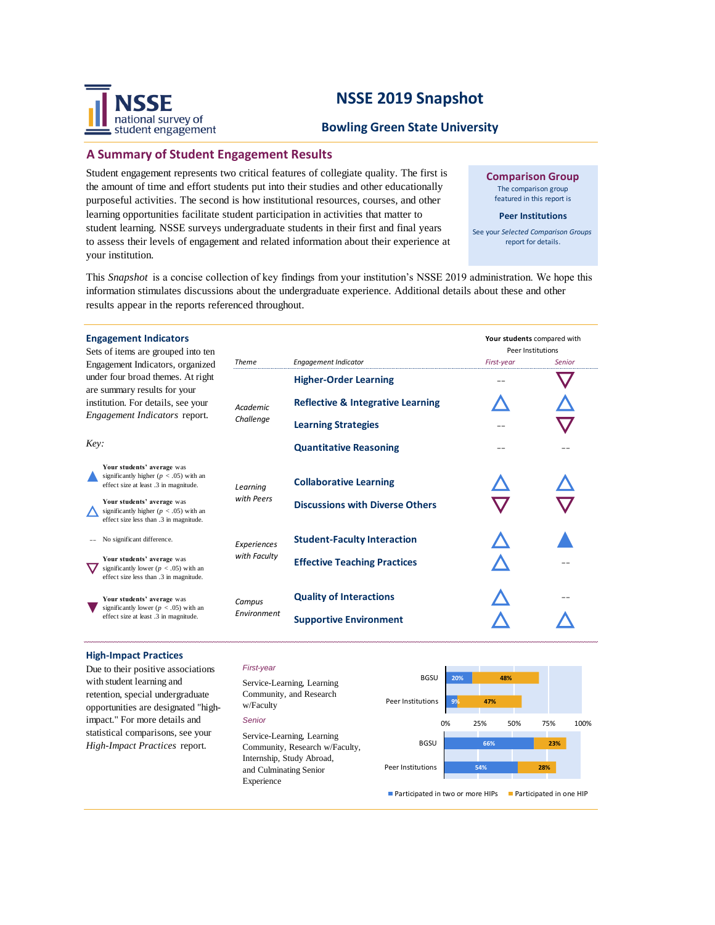

## **Bowling Green State University**

## **A Summary of Student Engagement Results**

Student engagement represents two critical features of collegiate quality. The first is the amount of time and effort students put into their studies and other educationally purposeful activities. The second is how institutional resources, courses, and other learning opportunities facilitate student participation in activities that matter to student learning. NSSE surveys undergraduate students in their first and final years to assess their levels of engagement and related information about their experience at your institution.

**Comparison Group** The comparison group

featured in this report is

#### **Peer Institutions**

See your *Selected Comparison Groups*  report for details.

This *Snapshot* is a concise collection of key findings from your institution's NSSE 2019 administration. We hope this information stimulates discussions about the undergraduate experience. Additional details about these and other results appear in the reports referenced throughout.

| <b>Engagement Indicators</b><br>Sets of items are grouped into ten                                                                              |                              |                                              | Your students compared with<br>Peer Institutions |               |
|-------------------------------------------------------------------------------------------------------------------------------------------------|------------------------------|----------------------------------------------|--------------------------------------------------|---------------|
| Engagement Indicators, organized                                                                                                                | <b>Theme</b>                 | <b>Engagement Indicator</b>                  | First-year                                       | <b>Senior</b> |
| under four broad themes. At right<br>are summary results for your<br>institution. For details, see your<br><i>Engagement Indicators</i> report. | <b>Academic</b><br>Challenge | <b>Higher-Order Learning</b>                 |                                                  |               |
|                                                                                                                                                 |                              | <b>Reflective &amp; Integrative Learning</b> |                                                  |               |
|                                                                                                                                                 |                              | <b>Learning Strategies</b>                   |                                                  |               |
| Key:                                                                                                                                            |                              | <b>Quantitative Reasoning</b>                |                                                  |               |
| Your students' average was<br>significantly higher ( $p < .05$ ) with an<br>effect size at least .3 in magnitude.                               | Learning                     | <b>Collaborative Learning</b>                |                                                  |               |
| Your students' average was<br>significantly higher ( $p < .05$ ) with an<br>effect size less than .3 in magnitude.                              | with Peers                   | <b>Discussions with Diverse Others</b>       |                                                  |               |
| No significant difference.                                                                                                                      | Experiences<br>with Faculty  | <b>Student-Faculty Interaction</b>           |                                                  |               |
| Your students' average was<br>significantly lower ( $p < .05$ ) with an<br>effect size less than .3 in magnitude.                               |                              | <b>Effective Teaching Practices</b>          |                                                  |               |
| Your students' average was<br>significantly lower ( $p < .05$ ) with an<br>effect size at least .3 in magnitude.                                | Campus<br>Environment        | <b>Quality of Interactions</b>               |                                                  |               |
|                                                                                                                                                 |                              | <b>Supportive Environment</b>                |                                                  |               |

### **High-Impact Practices**

Due to their positive associations with student learning and retention, special undergraduate opportunities are designated "highimpact." For more details and statistical comparisons, see your *High-Impact Practices* report.



*Senior*

w/Faculty



**28%**

**23%**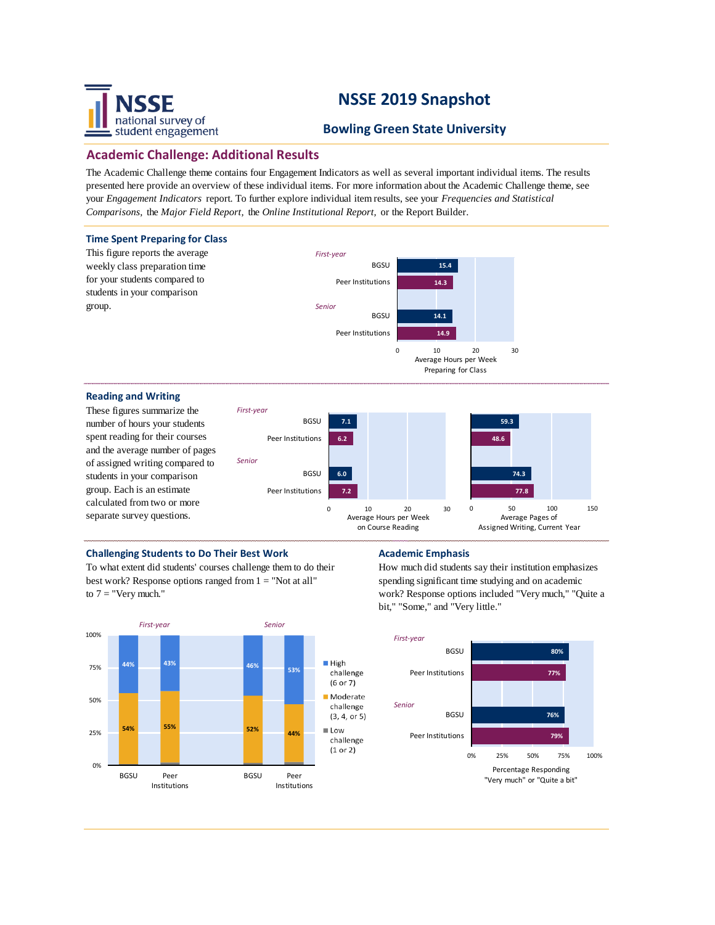

## **Bowling Green State University**

## **Academic Challenge: Additional Results**

The Academic Challenge theme contains four Engagement Indicators as well as several important individual items. The results presented here provide an overview of these individual items. For more information about the Academic Challenge theme, see your *Engagement Indicators* report. To further explore individual item results, see your *Frequencies and Statistical Comparisons,* the *Major Field Report,* the *Online Institutional Report,* or the Report Builder.



## **Challenging Students to Do Their Best Work <b>Academic Emphasis**

To what extent did students' courses challenge them to do their best work? Response options ranged from 1 = "Not at all" to  $7 =$  "Very much."



How much did students say their institution emphasizes spending significant time studying and on academic work? Response options included "Very much," "Quite a bit," "Some," and "Very little."

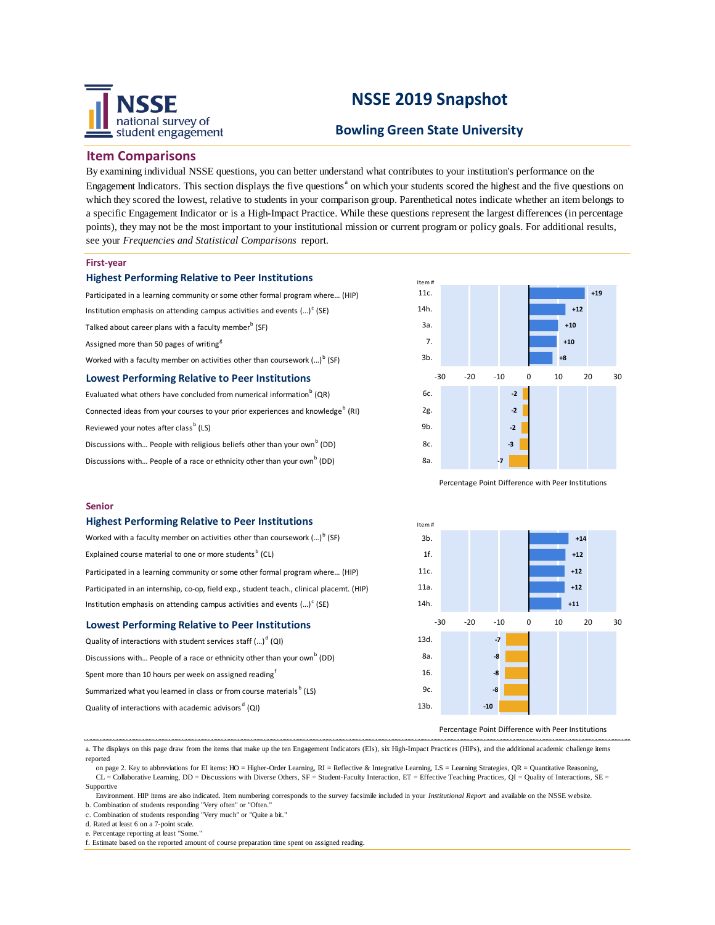

## **Bowling Green State University**

## **Item Comparisons**

By examining individual NSSE questions, you can better understand what contributes to your institution's performance on the Engagement Indicators. This section displays the five questions<sup>a</sup> on which your students scored the highest and the five questions on which they scored the lowest, relative to students in your comparison group. Parenthetical notes indicate whether an item belongs to a specific Engagement Indicator or is a High-Impact Practice. While these questions represent the largest differences (in percentage points), they may not be the most important to your institutional mission or current program or policy goals. For additional results, see your *Frequencies and Statistical Comparisons* report.

#### **First-year**

#### **Highest Performing Relative to Peer Institutions**

Participated in a learning community or some other formal program where… (HIP) Institution emphasis on attending campus activities and events  $(...)^c$  (SE) Talked about career plans with a faculty member<sup>b</sup> (SF) Assigned more than 50 pages of writing<sup>g</sup> Worked with a faculty member on activities other than coursework  $(...)^{\mathfrak{b}}$  (SF) **Lowest Performing Relative to Peer Institutions** Evaluated what others have concluded from numerical information<sup>b</sup> (QR)

Connected ideas from your courses to your prior experiences and knowledge<sup>b</sup> (RI) Reviewed your notes after class<sup>b</sup> (LS)

Discussions with... People with religious beliefs other than your own<sup>b</sup> (DD) Discussions with... People of a race or ethnicity other than your own<sup>b</sup> (DD)



Percentage Point Difference with Peer Institutions

### **Senior**

#### **Highest Performing Relative to Peer Institutions**

| Worked with a faculty member on activities other than coursework $()^b$ (SF)                     |    |  |  |  |
|--------------------------------------------------------------------------------------------------|----|--|--|--|
| Explained course material to one or more students <sup>b</sup> (CL)                              |    |  |  |  |
| Participated in a learning community or some other formal program where (HIP)                    | 11 |  |  |  |
| Participated in an internship, co-op, field exp., student teach., clinical placemt. (HIP)        | 11 |  |  |  |
| Institution emphasis on attending campus activities and events $(\cdot \cdot)$ <sup>c</sup> (SE) | 14 |  |  |  |
| <b>Lowest Performing Relative to Peer Institutions</b>                                           |    |  |  |  |
| Quality of interactions with student services staff $()^d$ (QI)                                  | 13 |  |  |  |

Discussions with... People of a race or ethnicity other than your own<sup>b</sup> (DD) Spent more than 10 hours per week on assigned reading<sup>f</sup> Summarized what you learned in class or from course materials<sup>b</sup> (LS) Quality of interactions with academic advisors<sup>d</sup> (QI)



#### Percentage Point Difference with Peer Institutions

a. The displays on this page draw from the items that make up the ten Engagement Indicators (EIs), six High-Impact Practices (HIPs), and the additional academic challenge items reported

on page 2. Key to abbreviations for EI items: HO = Higher-Order Learning, RI = Reflective & Integrative Learning, LS = Learning Strategies, QR = Quantitative Reasoning, CL = Collaborative Learning, DD = Discussions with Diverse Others, SF = Student-Faculty Interaction, ET = Effective Teaching Practices, QI = Quality of Interactions, SE = Supportive

 Environment. HIP items are also indicated. Item numbering corresponds to the survey facsimile included in your *Institutional Report* and available on the NSSE website. b. Combination of students responding "Very often" or "Often."

c. Combination of students responding "Very much" or "Quite a bit.

g. Estimate based on number of assigned writing tasks of assigned writing tasks of various lengths. The contract of

d. Rated at least 6 on a 7-point scale.

e. Percentage reporting at least "Some.

f. Estimate based on the reported amount of course preparation time spent on assigned reading.